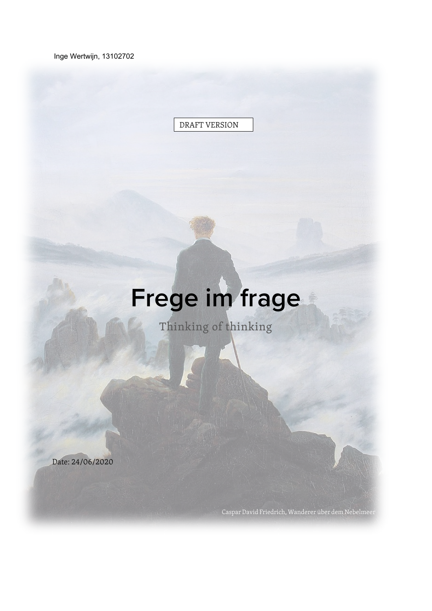Inge Wertwijn, 13102702

DRAFT VERSION

# **Frege im frage**

Thinking of thinking

Caspar David Friedrich, Wanderer über dem Nebelmeer

Date: 24/06/2020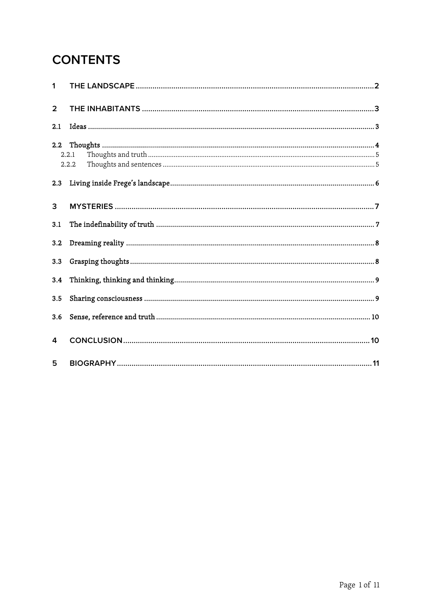# **CONTENTS**

| 1              |                |
|----------------|----------------|
| $\overline{2}$ |                |
| 2.1            |                |
| 2.2            | 2.2.1<br>2.2.2 |
| 2.3            |                |
| 3              |                |
| 3.1            |                |
| 3.2            |                |
| 3.3            |                |
| 3.4            |                |
| 3.5            |                |
| 3.6            |                |
| 4              |                |
| 5              |                |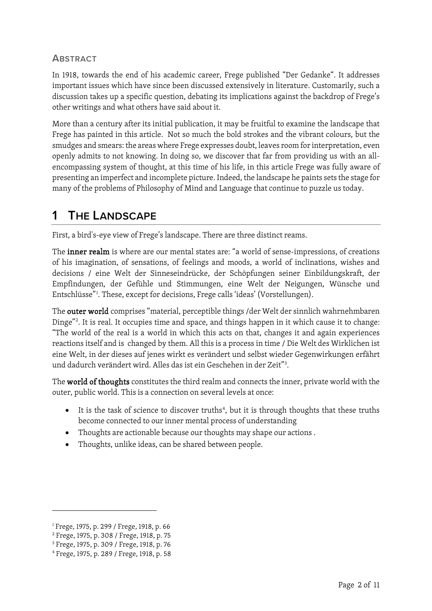## **ABSTRACT**

In 1918, towards the end of his academic career, Frege published "Der Gedanke". It addresses important issues which have since been discussed extensively in literature. Customarily, such a discussion takes up a specific question, debating its implications against the backdrop of Frege's other writings and what others have said about it.

More than a century after its initial publication, it may be fruitful to examine the landscape that Frege has painted in this article. Not so much the bold strokes and the vibrant colours, but the smudges and smears: the areas where Frege expresses doubt, leaves room for interpretation, even openly admits to not knowing. In doing so, we discover that far from providing us with an allencompassing system of thought, at this time of his life, in this article Frege was fully aware of presenting an imperfect and incomplete picture. Indeed, the landscape he paints sets the stage for many of the problems of Philosophy of Mind and Language that continue to puzzle us today.

## <span id="page-2-0"></span>**1 THE LANDSCAPE**

First, a bird's-eye view of Frege's landscape. There are three distinct reams.

The inner realm is where are our mental states are: "a world of sense-impressions, of creations of his imagination, of sensations, of feelings and moods, a world of inclinations, wishes and decisions / eine Welt der Sinneseindrücke, der Schöpfungen seiner Einbildungskraft, der Empfindungen, der Gefühle und Stimmungen, eine Welt der Neigungen, Wünsche und Entschlüsse"[1](#page-2-1) . These, except for decisions, Frege calls 'ideas' (Vorstellungen).

The outer world comprises "material, perceptible things /der Welt der sinnlich wahrnehmbaren Dinge"[2](#page-2-2) . It is real. It occupies time and space, and things happen in it which cause it to change: "The world of the real is a world in which this acts on that, changes it and again experiences reactions itself and is changed by them. All this is a process in time / Die Welt des Wirklichen ist eine Welt, in der dieses auf jenes wirkt es verändert und selbst wieder Gegenwirkungen erfährt und dadurch verändert wird. Alles das ist ein Geschehen in der Zeit"[3](#page-2-3) .

The world of thoughts constitutes the third realm and connects the inner, private world with the outer, public world. This is a connection on several levels at once:

- It is the task of science to discover truths<sup>[4](#page-2-4)</sup>, but it is through thoughts that these truths become connected to our inner mental process of understanding
- Thoughts are actionable because our thoughts may shape our actions .
- Thoughts, unlike ideas, can be shared between people.

<span id="page-2-1"></span><sup>&</sup>lt;sup>1</sup> Frege, 1975, p. 299 / Frege, 1918, p. 66

<span id="page-2-2"></span><sup>2</sup> Frege, 1975, p. 308 / Frege, 1918, p. 75

<span id="page-2-3"></span><sup>3</sup> Frege, 1975, p. 309 / Frege, 1918, p. 76

<span id="page-2-4"></span><sup>4</sup> Frege, 1975, p. 289 / Frege, 1918, p. 58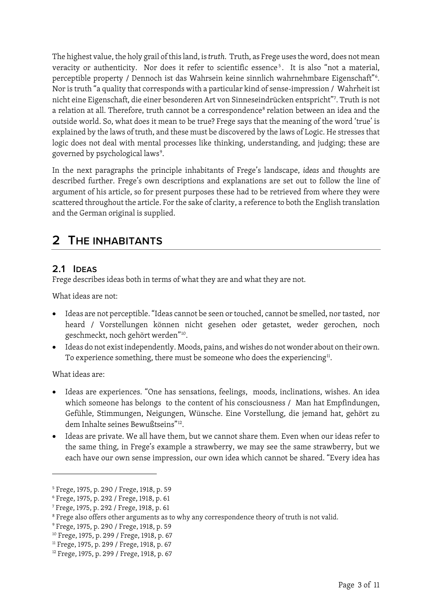The highest value, the holy grail of this land, is *truth*. Truth, as Frege uses the word, does not mean veracity or authenticity. Nor does it refer to scientific essence<sup>[5](#page-3-2)</sup>. It is also "not a material, perceptible property / Dennoch ist das Wahrsein keine sinnlich wahrnehmbare Eigenschaft"<sup>[6](#page-3-3)</sup>. Nor is truth "a quality that corresponds with a particular kind of sense-impression / Wahrheit ist nicht eine Eigenschaft, die einer besonderen Art von Sinneseindrücken entspricht"[7](#page-3-4) . Truth is not a relation at all. Therefore, truth cannot be a correspondence<sup>[8](#page-3-5)</sup> relation between an idea and the outside world. So, what does it mean to be true? Frege says that the meaning of the word 'true' is explained by the laws of truth, and these must be discovered by the laws of Logic. He stresses that logic does not deal with mental processes like thinking, understanding, and judging; these are governed by psychological laws<sup>[9](#page-3-6)</sup>.

In the next paragraphs the principle inhabitants of Frege's landscape, *ideas* and *thoughts* are described further. Frege's own descriptions and explanations are set out to follow the line of argument of his article, so for present purposes these had to be retrieved from where they were scattered throughout the article. For the sake of clarity, a reference to both the English translation and the German original is supplied.

# <span id="page-3-0"></span>**2 THE INHABITANTS**

## <span id="page-3-1"></span>**2.1 IDEAS**

Frege describes ideas both in terms of what they are and what they are not.

What ideas are not:

- Ideas are not perceptible. "Ideas cannot be seen or touched, cannot be smelled, nor tasted, nor heard / Vorstellungen können nicht gesehen oder getastet, weder gerochen, noch geschmeckt, noch gehört werden"[10](#page-3-7).
- Ideas do not exist independently. Moods, pains, and wishes do not wonder about on their own. To experience something, there must be someone who does the experiencing<sup>[11](#page-3-8)</sup>.

What ideas are:

- Ideas are experiences. "One has sensations, feelings, moods, inclinations, wishes. An idea which someone has belongs to the content of his consciousness / Man hat Empfindungen, Gefühle, Stimmungen, Neigungen, Wünsche. Eine Vorstellung, die jemand hat, gehört zu dem Inhalte seines Bewußtseins"[12.](#page-3-9)
- Ideas are private. We all have them, but we cannot share them. Even when our ideas refer to the same thing, in Frege's example a strawberry, we may see the same strawberry, but we each have our own sense impression, our own idea which cannot be shared. "Every idea has

<span id="page-3-2"></span><sup>5</sup> Frege, 1975, p. 290 / Frege, 1918, p. 59

<span id="page-3-3"></span><sup>6</sup> Frege, 1975, p. 292 / Frege, 1918, p. 61

<span id="page-3-4"></span><sup>7</sup> Frege, 1975, p. 292 / Frege, 1918, p. 61

<span id="page-3-5"></span><sup>&</sup>lt;sup>8</sup> Frege also offers other arguments as to why any correspondence theory of truth is not valid.

<span id="page-3-6"></span><sup>9</sup> Frege, 1975, p. 290 / Frege, 1918, p. 59

<span id="page-3-7"></span><sup>&</sup>lt;sup>10</sup> Frege, 1975, p. 299 / Frege, 1918, p. 67

<span id="page-3-8"></span><sup>&</sup>lt;sup>11</sup> Frege, 1975, p. 299 / Frege, 1918, p. 67

<span id="page-3-9"></span><sup>&</sup>lt;sup>12</sup> Frege, 1975, p. 299 / Frege, 1918, p. 67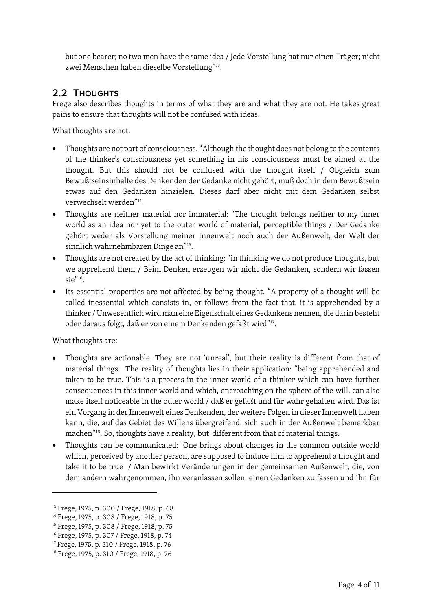but one bearer; no two men have the same idea / Jede Vorstellung hat nur einen Träger; nicht zwei Menschen haben dieselbe Vorstellung"[13](#page-4-1).

## <span id="page-4-0"></span>**2.2 THOUGHTS**

Frege also describes thoughts in terms of what they are and what they are not. He takes great pains to ensure that thoughts will not be confused with ideas.

What thoughts are not:

- Thoughts are not part of consciousness. "Although the thought does not belong to the contents of the thinker's consciousness yet something in his consciousness must be aimed at the thought. But this should not be confused with the thought itself / Obgleich zum Bewußtseinsinhalte des Denkenden der Gedanke nicht gehört, muß doch in dem Bewußtsein etwas auf den Gedanken hinzielen. Dieses darf aber nicht mit dem Gedanken selbst verwechselt werden"[14.](#page-4-2)
- Thoughts are neither material nor immaterial: "The thought belongs neither to my inner world as an idea nor yet to the outer world of material, perceptible things / Der Gedanke gehört weder als Vorstellung meiner Innenwelt noch auch der Außenwelt, der Welt der sinnlich wahrnehmbaren Dinge an"[15](#page-4-3).
- Thoughts are not created by the act of thinking: "in thinking we do not produce thoughts, but we apprehend them / Beim Denken erzeugen wir nicht die Gedanken, sondern wir fassen  $\sin^{n_{16}}$
- Its essential properties are not affected by being thought. "A property of a thought will be called inessential which consists in, or follows from the fact that, it is apprehended by a thinker / Unwesentlich wird man eine Eigenschaft eines Gedankens nennen, die darin besteht oder daraus folgt, daß er von einem Denkenden gefaßt wird"[17](#page-4-5).

What thoughts are:

- Thoughts are actionable. They are not 'unreal', but their reality is different from that of material things. The reality of thoughts lies in their application: "being apprehended and taken to be true. This is a process in the inner world of a thinker which can have further consequences in this inner world and which, encroaching on the sphere of the will, can also make itself noticeable in the outer world / daß er gefaßt und für wahr gehalten wird. Das ist ein Vorgang in der Innenwelt eines Denkenden, der weitere Folgen in dieser Innenwelt haben kann, die, auf das Gebiet des Willens übergreifend, sich auch in der Außenwelt bemerkbar machen"[18](#page-4-6). So, thoughts have a reality, but different from that of material things.
- Thoughts can be communicated: 'One brings about changes in the common outside world which, perceived by another person, are supposed to induce him to apprehend a thought and take it to be true / Man bewirkt Veränderungen in der gemeinsamen Außenwelt, die, von dem andern wahrgenommen, ihn veranlassen sollen, einen Gedanken zu fassen und ihn für

<span id="page-4-1"></span><sup>&</sup>lt;sup>13</sup> Frege, 1975, p. 300 / Frege, 1918, p. 68

<span id="page-4-2"></span><sup>&</sup>lt;sup>14</sup> Frege, 1975, p. 308 / Frege, 1918, p. 75

<span id="page-4-3"></span><sup>&</sup>lt;sup>15</sup> Frege, 1975, p. 308 / Frege, 1918, p. 75

<span id="page-4-4"></span><sup>&</sup>lt;sup>16</sup> Frege, 1975, p. 307 / Frege, 1918, p. 74

<span id="page-4-5"></span><sup>&</sup>lt;sup>17</sup> Frege, 1975, p. 310 / Frege, 1918, p. 76

<span id="page-4-6"></span><sup>18</sup> Frege, 1975, p. 310 / Frege, 1918, p. 76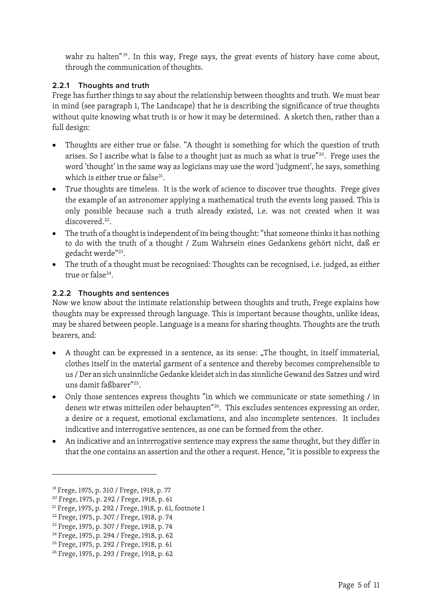wahr zu halten"<sup>[19](#page-5-2)</sup>. In this way, Frege says, the great events of history have come about, through the communication of thoughts.

#### <span id="page-5-0"></span>**2.2.1 Thoughts and truth**

Frege has further things to say about the relationship between thoughts and truth. We must bear in mind (see paragraph [1, The Landscape\)](#page-2-0) that he is describing the significance of true thoughts without quite knowing what truth is or how it may be determined. A sketch then, rather than a full design:

- Thoughts are either true or false. "A thought is something for which the question of truth arises. So I ascribe what is false to a thought just as much as what is true"[20](#page-5-3). Frege uses the word 'thought' in the same way as logicians may use the word 'judgment', he says, something which is either true or false $^{21}$  $^{21}$  $^{21}$ .
- True thoughts are timeless. It is the work of science to discover true thoughts. Frege gives the example of an astronomer applying a mathematical truth the events long passed. This is only possible because such a truth already existed, i.e. was not created when it was discovered.<sup>22</sup>.
- The truth of a thought is independent of its being thought: "that someone thinks it has nothing to do with the truth of a thought / Zum Wahrsein eines Gedankens gehört nicht, daß er gedacht werde["23](#page-5-6).
- The truth of a thought must be recognised: Thoughts can be recognised, i.e. judged, as either true or false<sup>[24](#page-5-7)</sup>.

## <span id="page-5-1"></span>**2.2.2 Thoughts and sentences**

Now we know about the intimate relationship between thoughts and truth, Frege explains how thoughts may be expressed through language. This is important because thoughts, unlike ideas, may be shared between people. Language is a means for sharing thoughts. Thoughts are the truth bearers, and:

- A thought can be expressed in a sentence, as its sense: "The thought, in itself immaterial, clothes itself in the material garment of a sentence and thereby becomes comprehensible to us / Der an sich unsinnliche Gedanke kleidet sich in das sinnliche Gewand des Satzes und wird uns damit faßbarer"[25](#page-5-8).
- Only those sentences express thoughts "in which we communicate or state something / in denen wir etwas mitteilen oder behaupten"<sup>[26](#page-5-9)</sup>. This excludes sentences expressing an order, a desire or a request, emotional exclamations, and also incomplete sentences. It includes indicative and interrogative sentences, as one can be formed from the other.
- An indicative and an interrogative sentence may express the same thought, but they differ in that the one contains an assertion and the other a request. Hence, "it is possible to express the

<span id="page-5-2"></span><sup>19</sup> Frege, 1975, p. 310 / Frege, 1918, p. 77

<span id="page-5-3"></span><sup>20</sup> Frege, 1975, p. 292 / Frege, 1918, p. 61

<span id="page-5-4"></span><sup>&</sup>lt;sup>21</sup> Frege, 1975, p. 292 / Frege, 1918, p. 61, footnote 1

<span id="page-5-5"></span><sup>22</sup> Frege, 1975, p. 307 / Frege, 1918, p. 74

<span id="page-5-6"></span><sup>23</sup> Frege, 1975, p. 307 / Frege, 1918, p. 74

<span id="page-5-7"></span><sup>24</sup> Frege, 1975, p. 294 / Frege, 1918, p. 62

<span id="page-5-8"></span><sup>25</sup> Frege, 1975, p. 292 / Frege, 1918, p. 61

<span id="page-5-9"></span><sup>26</sup> Frege, 1975, p. 293 / Frege, 1918, p. 62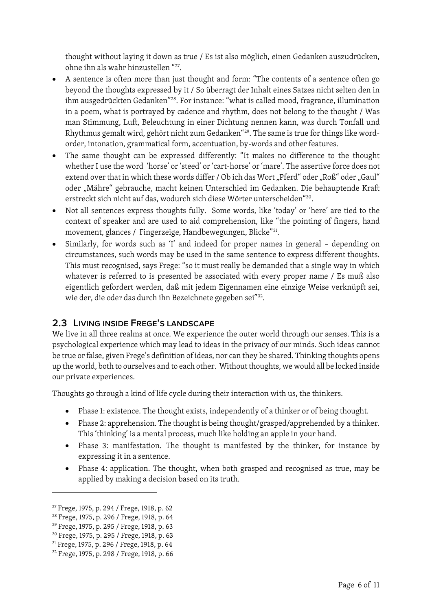thought without laying it down as true / Es ist also möglich, einen Gedanken auszudrücken, ohne ihn als wahr hinzustellen ["27.](#page-6-1)

- A sentence is often more than just thought and form: "The contents of a sentence often go beyond the thoughts expressed by it / So überragt der Inhalt eines Satzes nicht selten den in ihm ausgedrückten Gedanken"[28.](#page-6-2) For instance: "what is called mood, fragrance, illumination in a poem, what is portrayed by cadence and rhythm, does not belong to the thought / Was man Stimmung, Luft, Beleuchtung in einer Dichtung nennen kann, was durch Tonfall und Rhythmus gemalt wird, gehört nicht zum Gedanken"[29.](#page-6-3) The same is true for things like wordorder, intonation, grammatical form, accentuation, by-words and other features.
- The same thought can be expressed differently: "It makes no difference to the thought whether I use the word 'horse' or 'steed' or 'cart-horse' or 'mare'. The assertive force does not extend over that in which these words differ / Ob ich das Wort "Pferd" oder "Roß" oder "Gaul" oder "Mähre" gebrauche, macht keinen Unterschied im Gedanken. Die behauptende Kraft erstreckt sich nicht auf das, wodurch sich diese Wörter unterscheiden"[30](#page-6-4).
- Not all sentences express thoughts fully. Some words, like 'today' or 'here' are tied to the context of speaker and are used to aid comprehension, like "the pointing of fingers, hand movement, glances / Fingerzeige, Handbewegungen, Blicke"[31](#page-6-5).
- Similarly, for words such as 'I' and indeed for proper names in general depending on circumstances, such words may be used in the same sentence to express different thoughts. This must recognised, says Frege: "so it must really be demanded that a single way in which whatever is referred to is presented be associated with every proper name / Es muß also eigentlich gefordert werden, daß mit jedem Eigennamen eine einzige Weise verknüpft sei, wie der, die oder das durch ihn Bezeichnete gegeben sei"[32](#page-6-6).

## <span id="page-6-0"></span>**2.3 LIVING INSIDE FREGE'S LANDSCAPE**

We live in all three realms at once. We experience the outer world through our senses. This is a psychological experience which may lead to ideas in the privacy of our minds. Such ideas cannot be true or false, given Frege's definition of ideas, nor can they be shared. Thinking thoughts opens up the world, both to ourselves and to each other. Without thoughts, we would all be locked inside our private experiences.

Thoughts go through a kind of life cycle during their interaction with us, the thinkers.

- Phase 1: existence. The thought exists, independently of a thinker or of being thought.
- Phase 2: apprehension. The thought is being thought/grasped/apprehended by a thinker. This 'thinking' is a mental process, much like holding an apple in your hand.
- Phase 3: manifestation. The thought is manifested by the thinker, for instance by expressing it in a sentence.
- Phase 4: application. The thought, when both grasped and recognised as true, may be applied by making a decision based on its truth.

<span id="page-6-1"></span><sup>27</sup> Frege, 1975, p. 294 / Frege, 1918, p. 62

<span id="page-6-2"></span><sup>28</sup> Frege, 1975, p. 296 / Frege, 1918, p. 64

<span id="page-6-3"></span><sup>29</sup> Frege, 1975, p. 295 / Frege, 1918, p. 63

<span id="page-6-4"></span><sup>30</sup> Frege, 1975, p. 295 / Frege, 1918, p. 63

<span id="page-6-5"></span><sup>31</sup> Frege, 1975, p. 296 / Frege, 1918, p. 64

<span id="page-6-6"></span><sup>32</sup> Frege, 1975, p. 298 / Frege, 1918, p. 66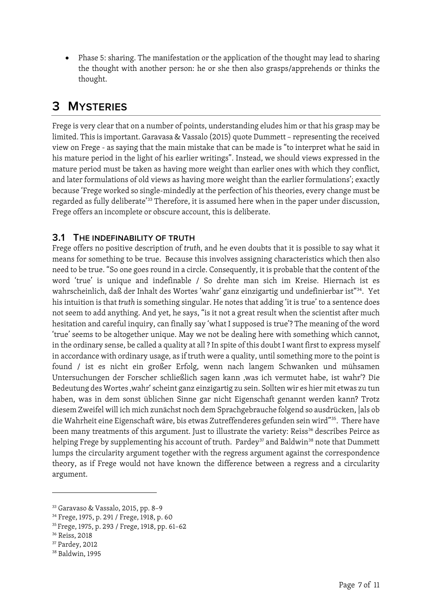• Phase 5: sharing. The manifestation or the application of the thought may lead to sharing the thought with another person: he or she then also grasps/apprehends or thinks the thought.

# <span id="page-7-0"></span>**3 MYSTERIES**

Frege is very clear that on a number of points, understanding eludes him or that his grasp may be limited. This is important. Garavasa & Vassalo (2015) quote Dummett – representing the received view on Frege - as saying that the main mistake that can be made is "to interpret what he said in his mature period in the light of his earlier writings". Instead, we should views expressed in the mature period must be taken as having more weight than earlier ones with which they conflict, and later formulations of old views as having more weight than the earlier formulations'; exactly because 'Frege worked so single-mindedly at the perfection of his theories, every change must be regarded as fully deliberate' [33](#page-7-2) Therefore, it is assumed here when in the paper under discussion, Frege offers an incomplete or obscure account, this is deliberate.

## <span id="page-7-1"></span>**3.1 THE INDEFINABILITY OF TRUTH**

Frege offers no positive description of *truth*, and he even doubts that it is possible to say what it means for something to be true. Because this involves assigning characteristics which then also need to be true. "So one goes round in a circle. Consequently, it is probable that the content of the word 'true' is unique and indefinable / So drehte man sich im Kreise. Hiernach ist es wahrscheinlich, daß der Inhalt des Wortes 'wahr' ganz einzigartig und undefinierbar ist"[34.](#page-7-3) Yet his intuition is that *truth* is something singular. He notes that adding 'it is true' to a sentence does not seem to add anything. And yet, he says, "is it not a great result when the scientist after much hesitation and careful inquiry, can finally say 'what I supposed is true'? The meaning of the word 'true' seems to be altogether unique. May we not be dealing here with something which cannot, in the ordinary sense, be called a quality at all ? In spite of this doubt I want first to express myself in accordance with ordinary usage, as if truth were a quality, until something more to the point is found / ist es nicht ein großer Erfolg, wenn nach langem Schwanken und mühsamen Untersuchungen der Forscher schließlich sagen kann ,was ich vermutet habe, ist wahr'? Die Bedeutung des Wortes , wahr' scheint ganz einzigartig zu sein. Sollten wir es hier mit etwas zu tun haben, was in dem sonst üblichen Sinne gar nicht Eigenschaft genannt werden kann? Trotz diesem Zweifel will ich mich zunächst noch dem Sprachgebrauche folgend so ausdrücken, |als ob die Wahrheit eine Eigenschaft wäre, bis etwas Zutreffenderes gefunden sein wird"[35.](#page-7-4) There have been many treatments of this argument. Just to illustrate the variety: Reiss<sup>[36](#page-7-5)</sup> describes Peirce as helping Frege by supplementing his account of truth. Pardey<sup>[37](#page-7-6)</sup> and Baldwin<sup>38</sup> note that Dummett lumps the circularity argument together with the regress argument against the correspondence theory, as if Frege would not have known the difference between a regress and a circularity argument.

<span id="page-7-2"></span><sup>33</sup> Garavaso & Vassalo, 2015, pp. 8–9

<span id="page-7-3"></span><sup>34</sup> Frege, 1975, p. 291 / Frege, 1918, p. 60

<span id="page-7-4"></span><sup>35</sup> Frege, 1975, p. 293 / Frege, 1918, pp. 61–62

<span id="page-7-5"></span><sup>36</sup> Reiss, 2018

<span id="page-7-6"></span><sup>37</sup> Pardey, 2012

<span id="page-7-7"></span><sup>38</sup> Baldwin, 1995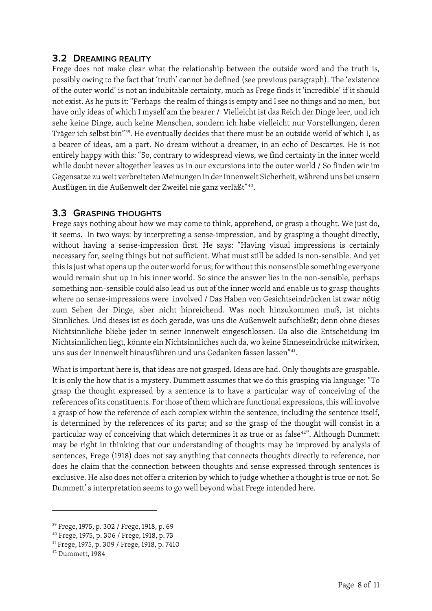## <span id="page-8-0"></span>**3.2 DREAMING REALITY**

Frege does not make clear what the relationship between the outside word and the truth is, possibly owing to the fact that 'truth' cannot be defined (see previous paragraph). The 'existence of the outer world' is not an indubitable certainty, much as Frege finds it 'incredible' if it should not exist. As he puts it: "Perhaps the realm of things is empty and I see no things and no men, but have only ideas of which I myself am the bearer / Vielleicht ist das Reich der Dinge leer, und ich sehe keine Dinge, auch keine Menschen, sondern ich habe vielleicht nur Vorstellungen, deren Träger ich selbst bin"[39](#page-8-2). He eventually decides that there must be an outside world of which I, as a bearer of ideas, am a part. No dream without a dreamer, in an echo of Descartes. He is not entirely happy with this: "So, contrary to widespread views, we find certainty in the inner world while doubt never altogether leaves us in our excursions into the outer world / So finden wir im Gegensatze zu weit verbreiteten Meinungen in der Innenwelt Sicherheit, während uns bei unsern Ausflügen in die Außenwelt der Zweifel nie ganz verläßt"<sup>[40](#page-8-3)</sup>.

## <span id="page-8-1"></span>**3.3 GRASPING THOUGHTS**

Frege says nothing about how we may come to think, apprehend, or grasp a thought. We just do, it seems. In two ways: by interpreting a sense-impression, and by grasping a thought directly, without having a sense-impression first. He says: "Having visual impressions is certainly necessary for, seeing things but not sufficient. What must still be added is non-sensible. And yet this is just what opens up the outer world for us; for without this nonsensible something everyone would remain shut up in his inner world. So since the answer lies in the non-sensible, perhaps something non-sensible could also lead us out of the inner world and enable us to grasp thoughts where no sense-impressions were involved / Das Haben von Gesichtseindrücken ist zwar nötig zum Sehen der Dinge, aber nicht hinreichend. Was noch hinzukommen muß, ist nichts Sinnliches. Und dieses ist es doch gerade, was uns die Außenwelt aufschließt; denn ohne dieses Nichtsinnliche bliebe jeder in seiner Innenwelt eingeschlossen. Da also die Entscheidung im Nichtsinnlichen liegt, könnte ein Nichtsinnliches auch da, wo keine Sinneseindrücke mitwirken, uns aus der Innenwelt hinausführen und uns Gedanken fassen lassen"[41](#page-8-4).

What is important here is, that ideas are not grasped. Ideas are had. Only thoughts are graspable. It is only the how that is a mystery. Dummett assumes that we do this grasping via language: "To grasp the thought expressed by a sentence is to have a particular way of conceiving of the references of its constituents. For those of them which are functional expressions, this will involve a grasp of how the reference of each complex within the sentence, including the sentence itself, is determined by the references of its parts; and so the grasp of the thought will consist in a particular way of conceiving that which determines it as true or as false<sup>[42"](#page-8-5)</sup>. Although Dummett may be right in thinking that our understanding of thoughts may be improved by analysis of sentences, Frege (1918) does not say anything that connects thoughts directly to reference, nor does he claim that the connection between thoughts and sense expressed through sentences is exclusive. He also does not offer a criterion by which to judge whether a thought is true or not. So Dummett' s interpretation seems to go well beyond what Frege intended here.

<span id="page-8-2"></span><sup>39</sup> Frege, 1975, p. 302 / Frege, 1918, p. 69

<span id="page-8-3"></span><sup>40</sup> Frege, 1975, p. 306 / Frege, 1918, p. 73

<span id="page-8-4"></span><sup>41</sup> Frege, 1975, p. 309 / Frege, 1918, p. 7410

<span id="page-8-5"></span><sup>42</sup> Dummett, 1984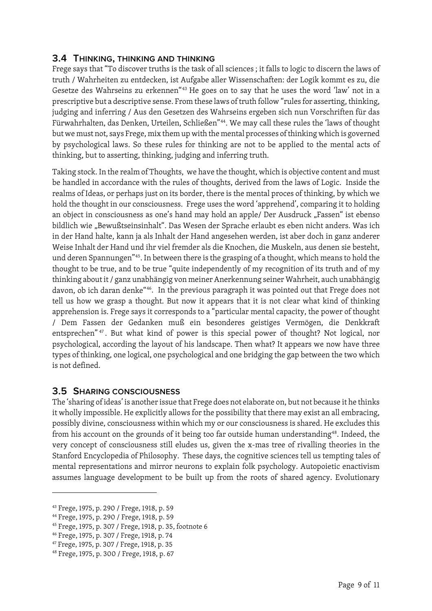## <span id="page-9-0"></span>**3.4 THINKING, THINKING AND THINKING**

Frege says that "To discover truths is the task of all sciences ; it falls to logic to discern the laws of truth / Wahrheiten zu entdecken, ist Aufgabe aller Wissenschaften: der Logik kommt es zu, die Gesetze des Wahrseins zu erkennen"[43](#page-9-2) He goes on to say that he uses the word 'law' not in a prescriptive but a descriptive sense. From these laws of truth follow "rules for asserting, thinking, judging and inferring / Aus den Gesetzen des Wahrseins ergeben sich nun Vorschriften für das Fürwahrhalten, das Denken, Urteilen, Schließen"[44](#page-9-3). We may call these rules the 'laws of thought but we must not, says Frege, mix them up with the mental processes of thinking which is governed by psychological laws. So these rules for thinking are not to be applied to the mental acts of thinking, but to asserting, thinking, judging and inferring truth.

Taking stock. In the realm of Thoughts, we have the thought, which is objective content and must be handled in accordance with the rules of thoughts, derived from the laws of Logic. Inside the realms of Ideas, or perhaps just on its border, there is the mental proces of thinking, by which we hold the thought in our consciousness. Frege uses the word 'apprehend', comparing it to holding an object in consciousness as one's hand may hold an apple/ Der Ausdruck "Fassen" ist ebenso bildlich wie "Bewußtseinsinhalt". Das Wesen der Sprache erlaubt es eben nicht anders. Was ich in der Hand halte, kann ja als Inhalt der Hand angesehen werden, ist aber doch in ganz anderer Weise Inhalt der Hand und ihr viel fremder als die Knochen, die Muskeln, aus denen sie besteht, und deren Spannungen"[45.](#page-9-4) In between there is the grasping of a thought, which means to hold the thought to be true, and to be true "quite independently of my recognition of its truth and of my thinking about it / ganz unabhängig von meiner Anerkennung seiner Wahrheit, auch unabhängig davon, ob ich daran denke"[46.](#page-9-5) In the previous paragraph it was pointed out that Frege does not tell us how we grasp a thought. But now it appears that it is not clear what kind of thinking apprehension is. Frege says it corresponds to a "particular mental capacity, the power of thought / Dem Fassen der Gedanken muß ein besonderes geistiges Vermögen, die Denkkraft entsprechen" [47](#page-9-6) . But what kind of power is this special power of thought? Not logical, nor psychological, according the layout of his landscape. Then what? It appears we now have three types of thinking, one logical, one psychological and one bridging the gap between the two which is not defined.

#### <span id="page-9-1"></span>**3.5 SHARING CONSCIOUSNESS**

The 'sharing of ideas' is another issue that Frege does not elaborate on, but not because it he thinks it wholly impossible. He explicitly allows for the possibility that there may exist an all embracing, possibly divine, consciousness within which my or our consciousness is shared. He excludes this from his account on the grounds of it being too far outside human understanding<sup>48</sup>. Indeed, the very concept of consciousness still eludes us, given the x-mas tree of rivalling theories in the Stanford Encyclopedia of Philosophy. These days, the cognitive sciences tell us tempting tales of mental representations and mirror neurons to explain folk psychology. Autopoietic enactivism assumes language development to be built up from the roots of shared agency. Evolutionary

<span id="page-9-2"></span><sup>43</sup> Frege, 1975, p. 290 / Frege, 1918, p. 59

<span id="page-9-3"></span><sup>44</sup> Frege, 1975, p. 290 / Frege, 1918, p. 59

<span id="page-9-4"></span><sup>45</sup> Frege, 1975, p. 307 / Frege, 1918, p. 35, footnote 6

<span id="page-9-5"></span><sup>46</sup> Frege, 1975, p. 307 / Frege, 1918, p. 74

<span id="page-9-6"></span><sup>47</sup> Frege, 1975, p. 307 / Frege, 1918, p. 35

<span id="page-9-7"></span><sup>48</sup> Frege, 1975, p. 300 / Frege, 1918, p. 67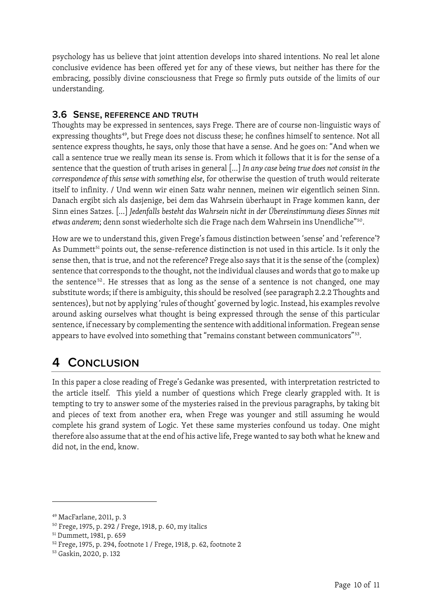psychology has us believe that joint attention develops into shared intentions. No real let alone conclusive evidence has been offered yet for any of these views, but neither has there for the embracing, possibly divine consciousness that Frege so firmly puts outside of the limits of our understanding.

## <span id="page-10-0"></span>**3.6 SENSE, REFERENCE AND TRUTH**

Thoughts may be expressed in sentences, says Frege. There are of course non-linguistic ways of expressing thoughts<sup>49</sup>, but Frege does not discuss these; he confines himself to sentence. Not all sentence express thoughts, he says, only those that have a sense. And he goes on: "And when we call a sentence true we really mean its sense is. From which it follows that it is for the sense of a sentence that the question of truth arises in general […] *In any case being true does not consist in the correspondence of this sense with something else*, for otherwise the question of truth would reiterate itself to infinity. / Und wenn wir einen Satz wahr nennen, meinen wir eigentlich seinen Sinn. Danach ergibt sich als dasjenige, bei dem das Wahrsein überhaupt in Frage kommen kann, der Sinn eines Satzes. […] *Jedenfalls besteht das Wahrsein nicht in der Übereinstimmung dieses Sinnes mit etwas anderem*; denn sonst wiederholte sich die Frage nach dem Wahrsein ins Unendliche"[50.](#page-10-3)

How are we to understand this, given Frege's famous distinction between 'sense' and 'reference'? As Dummett<sup>[51](#page-10-4)</sup> points out, the sense-reference distinction is not used in this article. Is it only the sense then, that is true, and not the reference? Frege also says that it is the sense of the (complex) sentence that corresponds to the thought, not the individual clauses and words that go to make up the sentence<sup>[52](#page-10-5)</sup>. He stresses that as long as the sense of a sentence is not changed, one may substitute words; if there is ambiguity, this should be resolved (see paragraph [2.2.2](#page-5-1) [Thoughts and](#page-5-1)  [sentences\)](#page-5-1), but not by applying 'rules of thought' governed by logic. Instead, his examples revolve around asking ourselves what thought is being expressed through the sense of this particular sentence, if necessary by complementing the sentence with additional information. Fregean sense appears to have evolved into something that "remains constant between communicators"<sup>53</sup>.

# <span id="page-10-1"></span>**4 CONCLUSION**

In this paper a close reading of Frege's Gedanke was presented, with interpretation restricted to the article itself. This yield a number of questions which Frege clearly grappled with. It is tempting to try to answer some of the mysteries raised in the previous paragraphs, by taking bit and pieces of text from another era, when Frege was younger and still assuming he would complete his grand system of Logic. Yet these same mysteries confound us today. One might therefore also assume that at the end of his active life, Frege wanted to say both what he knew and did not, in the end, know.

<span id="page-10-2"></span><sup>49</sup> MacFarlane, 2011, p. 3

<span id="page-10-3"></span><sup>50</sup> Frege, 1975, p. 292 / Frege, 1918, p. 60, my italics

<span id="page-10-4"></span><sup>51</sup> Dummett, 1981, p. 659

<span id="page-10-5"></span><sup>52</sup> Frege, 1975, p. 294, footnote 1 / Frege, 1918, p. 62, footnote 2

<span id="page-10-6"></span><sup>53</sup> Gaskin, 2020, p. 132